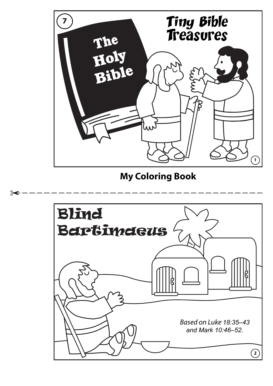

## **My Coloring Book**

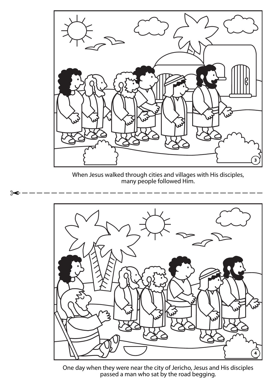

When Jesus walked through cities and villages with His disciples, many people followed Him.

 $\approx$ 



One day when they were near the city of Jericho, Jesus and His disciples passed a man who sat by the road begging.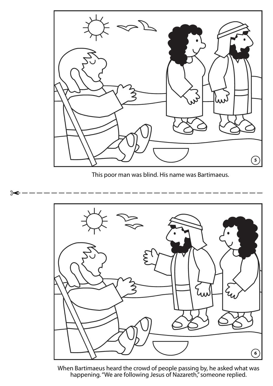

This poor man was blind. His name was Bartimaeus.

 $\approx$ 



When Bartimaeus heard the crowd of people passing by, he asked what was happening. "We are following Jesus of Nazareth," someone replied.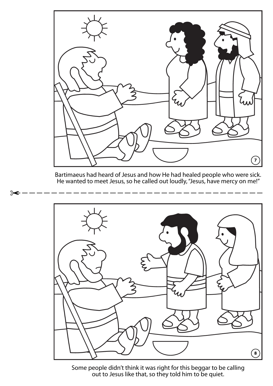

Bartimaeus had heard of Jesus and how He had healed people who were sick. He wanted to meet Jesus, so he called out loudly, "Jesus, have mercy on me!"



Some people didn't think it was right for this beggar to be calling out to Jesus like that, so they told him to be quiet.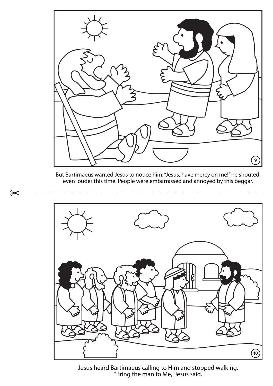

But Bartimaeus wanted Jesus to notice him. "Jesus, have mercy on me!" he shouted, even louder this time. People were embarrassed and annoyed by this beggar.



Jesus heard Bartimaeus calling to Him and stopped walking. "Bring the man to Me," Jesus said.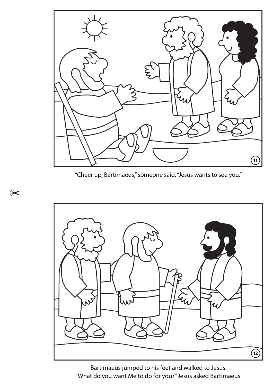

"Cheer up, Bartimaeus," someone said. "Jesus wants to see you."

 $\approx$ 



Bartimaeus jumped to his feet and walked to Jesus. "What do you want Me to do for you?" Jesus asked Bartimaeus.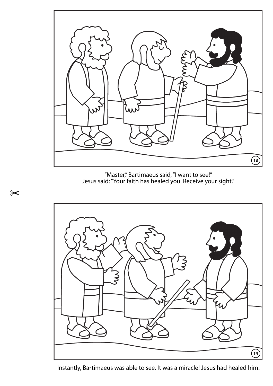

"Master," Bartimaeus said, "I want to see!" Jesus said: "Your faith has healed you. Receive your sight."

 $\approx$ 



Instantly, Bartimaeus was able to see. It was a miracle! Jesus had healed him.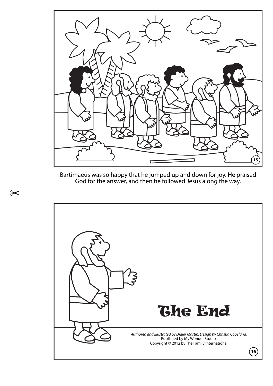

Bartimaeus was so happy that he jumped up and down for joy. He praised God for the answer, and then he followed Jesus along the way.